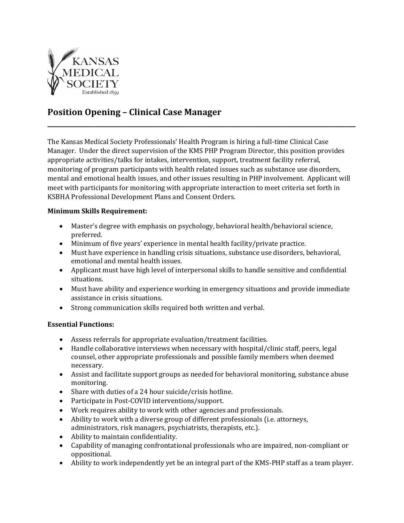

## **Position Opening – Clinical Case Manager**

The Kansas Medical Society Professionals' Health Program is hiring a full-time Clinical Case Manager. Under the direct supervision of the KMS PHP Program Director, this position provides appropriate activities/talks for intakes, intervention, support, treatment facility referral, monitoring of program participants with health related issues such as substance use disorders, mental and emotional health issues, and other issues resulting in PHP involvement. Applicant will meet with participants for monitoring with appropriate interaction to meet criteria set forth in KSBHA Professional Development Plans and Consent Orders.

**\_\_\_\_\_\_\_\_\_\_\_\_\_\_\_\_\_\_\_\_\_\_\_\_\_\_\_\_\_\_\_\_\_\_\_\_\_\_\_\_\_\_\_\_\_\_\_\_\_\_\_\_\_\_\_\_\_\_\_\_\_\_\_\_\_\_\_\_\_\_\_\_\_\_\_\_\_\_\_\_\_\_\_\_\_\_\_\_\_\_**

## **Minimum Skills Requirement:**

- Master's degree with emphasis on psychology, behavioral health/behavioral science, preferred.
- Minimum of five years' experience in mental health facility/private practice.
- Must have experience in handling crisis situations, substance use disorders, behavioral, emotional and mental health issues.
- Applicant must have high level of interpersonal skills to handle sensitive and confidential situations.
- Must have ability and experience working in emergency situations and provide immediate assistance in crisis situations.
- Strong communication skills required both written and verbal.

## **Essential Functions:**

- Assess referrals for appropriate evaluation/treatment facilities.
- Handle collaborative interviews when necessary with hospital/clinic staff, peers, legal counsel, other appropriate professionals and possible family members when deemed necessary.
- Assist and facilitate support groups as needed for behavioral monitoring, substance abuse monitoring.
- Share with duties of a 24 hour suicide/crisis hotline.
- Participate in Post-COVID interventions/support.
- Work requires ability to work with other agencies and professionals.
- Ability to work with a diverse group of different professionals (i.e. attorneys, administrators, risk managers, psychiatrists, therapists, etc.).
- Ability to maintain confidentiality.
- Capability of managing confrontational professionals who are impaired, non-compliant or oppositional.
- Ability to work independently yet be an integral part of the KMS-PHP staff as a team player.